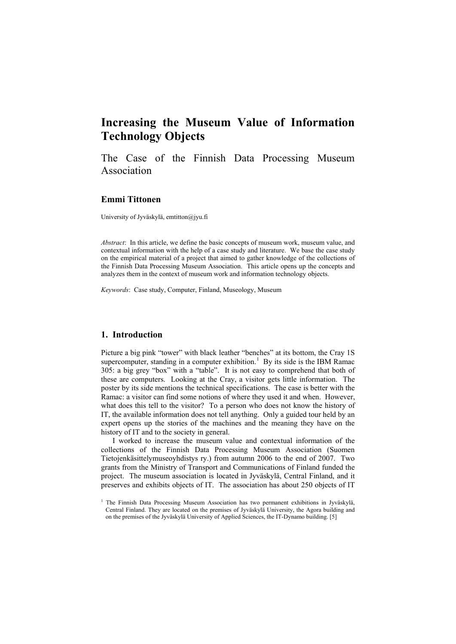# **Increasing the Museum Value of Information Technology Objects**

The Case of the Finnish Data Processing Museum Association

#### **Emmi Tittonen**

University of Jyväskylä, emtitton@jyu.fi

*Abstract*: In this article, we define the basic concepts of museum work, museum value, and contextual information with the help of a case study and literature. We base the case study on the empirical material of a project that aimed to gather knowledge of the collections of the Finnish Data Processing Museum Association. This article opens up the concepts and analyzes them in the context of museum work and information technology objects.

*Keywords*: Case study, Computer, Finland, Museology, Museum

## **1. Introduction**

Picture a big pink "tower" with black leather "benches" at its bottom, the Cray 1S supercomputer, standing in a computer exhibition.<sup>[1](#page-0-0)</sup> By its side is the IBM Ramac 305: a big grey "box" with a "table". It is not easy to comprehend that both of these are computers. Looking at the Cray, a visitor gets little information. The poster by its side mentions the technical specifications. The case is better with the Ramac: a visitor can find some notions of where they used it and when. However, what does this tell to the visitor? To a person who does not know the history of IT, the available information does not tell anything. Only a guided tour held by an expert opens up the stories of the machines and the meaning they have on the history of IT and to the society in general.

I worked to increase the museum value and contextual information of the collections of the Finnish Data Processing Museum Association (Suomen Tietojenkäsittelymuseoyhdistys ry.) from autumn 2006 to the end of 2007. Two grants from the Ministry of Transport and Communications of Finland funded the project. The museum association is located in Jyväskylä, Central Finland, and it preserves and exhibits objects of IT. The association has about 250 objects of IT

<span id="page-0-3"></span><span id="page-0-2"></span><span id="page-0-1"></span><span id="page-0-0"></span><sup>&</sup>lt;sup>1</sup> The Finnish Data Processing Museum Association has two permanent exhibitions in Jyväskylä, Central Finland. They are located on the premises of Jyväskylä University, the Agora building and on the premises of the Jyväskylä University of Applied Sciences, the IT-Dynamo building. [5]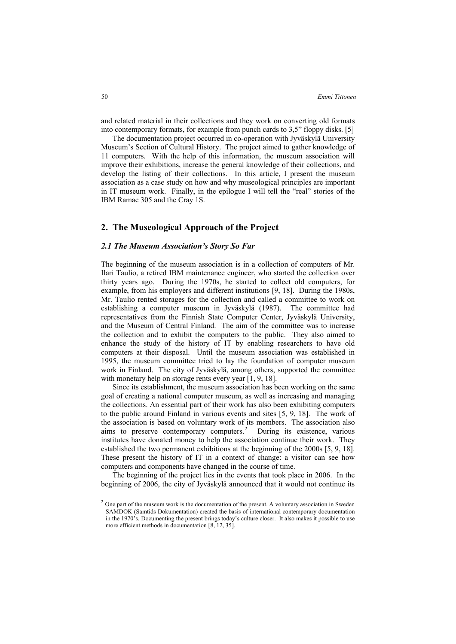and related material in their collections and they work on converting old formats into contemporary formats, for example from punch cards to 3,5" floppy disks. [5]

The documentation project occurred in co-operation with Jyväskylä University Museum's Section of Cultural History. The project aimed to gather knowledge of 11 computers. With the help of this information, the museum association will improve their exhibitions, increase the general knowledge of their collections, and develop the listing of their collections. In this article, I present the museum association as a case study on how and why museological principles are important in IT museum work. Finally, in the epilogue I will tell the "real" stories of the IBM Ramac 305 and the Cray 1S.

## **2. The Museological Approach of the Project**

## *2.1 The Museum Association's Story So Far*

The beginning of the museum association is in a collection of computers of Mr. Ilari Taulio, a retired IBM maintenance engineer, who started the collection over thirty years ago. During the 1970s, he started to collect old computers, for example, from his employers and different institutions [9, 18]. During the 1980s, Mr. Taulio rented storages for the collection and called a committee to work on establishing a computer museum in Jyväskylä (1987). The committee had representatives from the Finnish State Computer Center, Jyväskylä University, and the Museum of Central Finland. The aim of the committee was to increase the collection and to exhibit the computers to the public. They also aimed to enhance the study of the history of IT by enabling researchers to have old computers at their disposal. Until the museum association was established in 1995, the museum committee tried to lay the foundation of computer museum work in Finland. The city of Jyväskylä, among others, supported the committee with monetary help on storage rents every year [1, 9, 18].

Since its establishment, the museum association has been working on the same goal of creating a national computer museum, as well as increasing and managing the collections. An essential part of their work has also been exhibiting computers to the public around Finland in various events and sites [5, 9, 18]. The work of the association is based on voluntary work of its members. The association also aims to preserve contemporary computers.<sup>[2](#page-0-1)</sup> During its existence, various institutes have donated money to help the association continue their work. They established the two permanent exhibitions at the beginning of the 2000s [5, 9, 18]. These present the history of IT in a context of change: a visitor can see how computers and components have changed in the course of time.

The beginning of the project lies in the events that took place in 2006. In the beginning of 2006, the city of Jyväskylä announced that it would not continue its

 $2$  One part of the museum work is the documentation of the present. A voluntary association in Sweden SAMDOK (Samtids Dokumentation) created the basis of international contemporary documentation in the 1970's. Documenting the present brings today's culture closer. It also makes it possible to use more efficient methods in documentation [8, 12, 35].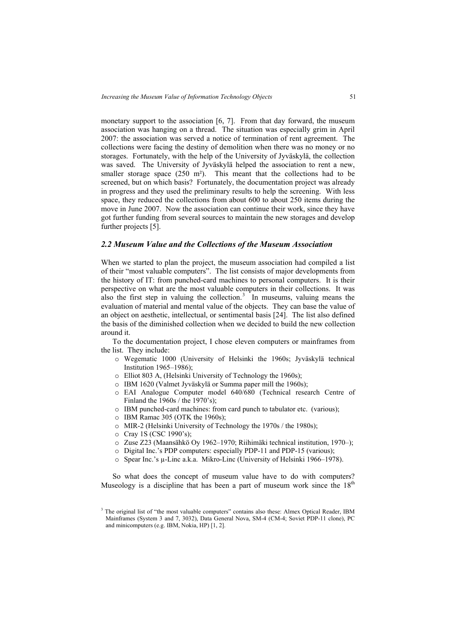monetary support to the association [6, 7]. From that day forward, the museum association was hanging on a thread. The situation was especially grim in April 2007: the association was served a notice of termination of rent agreement. The collections were facing the destiny of demolition when there was no money or no storages. Fortunately, with the help of the University of Jyväskylä, the collection was saved. The University of Jyväskylä helped the association to rent a new, smaller storage space  $(250 \text{ m}^2)$ . This meant that the collections had to be screened, but on which basis? Fortunately, the documentation project was already in progress and they used the preliminary results to help the screening. With less space, they reduced the collections from about 600 to about 250 items during the move in June 2007. Now the association can continue their work, since they have got further funding from several sources to maintain the new storages and develop further projects [5].

#### *2.2 Museum Value and the Collections of the Museum Association*

When we started to plan the project, the museum association had compiled a list of their "most valuable computers". The list consists of major developments from the history of IT: from punched-card machines to personal computers. It is their perspective on what are the most valuable computers in their collections. It was also the first step in valuing the collection.<sup>[3](#page-0-2)</sup> In museums, valuing means the evaluation of material and mental value of the objects. They can base the value of an object on aesthetic, intellectual, or sentimental basis [24]. The list also defined the basis of the diminished collection when we decided to build the new collection around it.

To the documentation project, I chose eleven computers or mainframes from the list. They include:

- o Wegematic 1000 (University of Helsinki the 1960s; Jyväskylä technical Institution 1965–1986);
- o Elliot 803 A, (Helsinki University of Technology the 1960s);
- o IBM 1620 (Valmet Jyväskylä or Summa paper mill the 1960s);
- o EAI Analogue Computer model 640/680 (Technical research Centre of Finland the 1960s / the 1970's);
- o IBM punched-card machines: from card punch to tabulator etc. (various);
- o IBM Ramac 305 (OTK the 1960s);
- o MIR-2 (Helsinki University of Technology the 1970s / the 1980s);
- o Cray 1S (CSC 1990's);
- o Zuse Z23 (Maansähkö Oy 1962–1970; Riihimäki technical institution, 1970–);
- o Digital Inc.'s PDP computers: especially PDP-11 and PDP-15 (various);
- o Spear Inc.'s µ-Linc a.k.a. Mikro-Linc (University of Helsinki 1966–1978).

So what does the concept of museum value have to do with computers? Museology is a discipline that has been a part of museum work since the  $18<sup>th</sup>$ 

<sup>&</sup>lt;sup>3</sup> The original list of "the most valuable computers" contains also these: Almex Optical Reader, IBM Mainframes (System 3 and 7, 3032), Data General Nova, SM-4 (CM-4; Soviet PDP-11 clone), PC and minicomputers (e.g. IBM, Nokia, HP) [1, 2].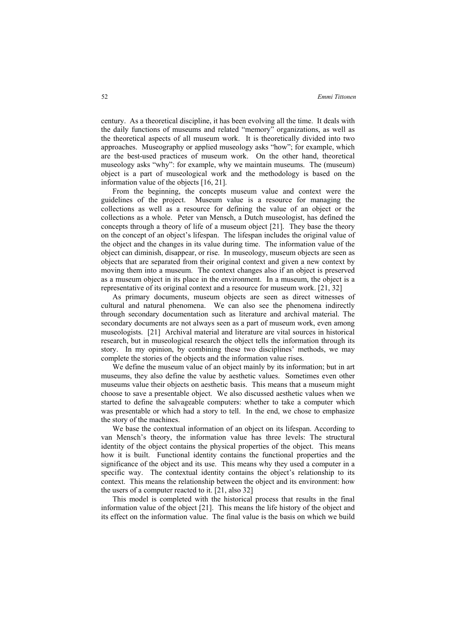century. As a theoretical discipline, it has been evolving all the time. It deals with the daily functions of museums and related "memory" organizations, as well as the theoretical aspects of all museum work. It is theoretically divided into two approaches. Museography or applied museology asks "how"; for example, which are the best-used practices of museum work. On the other hand, theoretical museology asks "why": for example, why we maintain museums. The (museum) object is a part of museological work and the methodology is based on the information value of the objects [16, 21].

From the beginning, the concepts museum value and context were the guidelines of the project. Museum value is a resource for managing the collections as well as a resource for defining the value of an object or the collections as a whole. Peter van Mensch, a Dutch museologist, has defined the concepts through a theory of life of a museum object [21]. They base the theory on the concept of an object's lifespan. The lifespan includes the original value of the object and the changes in its value during time. The information value of the object can diminish, disappear, or rise. In museology, museum objects are seen as objects that are separated from their original context and given a new context by moving them into a museum. The context changes also if an object is preserved as a museum object in its place in the environment. In a museum, the object is a representative of its original context and a resource for museum work. [21, 32]

As primary documents, museum objects are seen as direct witnesses of cultural and natural phenomena. We can also see the phenomena indirectly through secondary documentation such as literature and archival material. The secondary documents are not always seen as a part of museum work, even among museologists. [21] Archival material and literature are vital sources in historical research, but in museological research the object tells the information through its story. In my opinion, by combining these two disciplines' methods, we may complete the stories of the objects and the information value rises.

We define the museum value of an object mainly by its information; but in art museums, they also define the value by aesthetic values. Sometimes even other museums value their objects on aesthetic basis. This means that a museum might choose to save a presentable object. We also discussed aesthetic values when we started to define the salvageable computers: whether to take a computer which was presentable or which had a story to tell. In the end, we chose to emphasize the story of the machines.

We base the contextual information of an object on its lifespan. According to van Mensch's theory, the information value has three levels: The structural identity of the object contains the physical properties of the object. This means how it is built. Functional identity contains the functional properties and the significance of the object and its use. This means why they used a computer in a specific way. The contextual identity contains the object's relationship to its context. This means the relationship between the object and its environment: how the users of a computer reacted to it. [21, also 32]

This model is completed with the historical process that results in the final information value of the object [21]. This means the life history of the object and its effect on the information value. The final value is the basis on which we build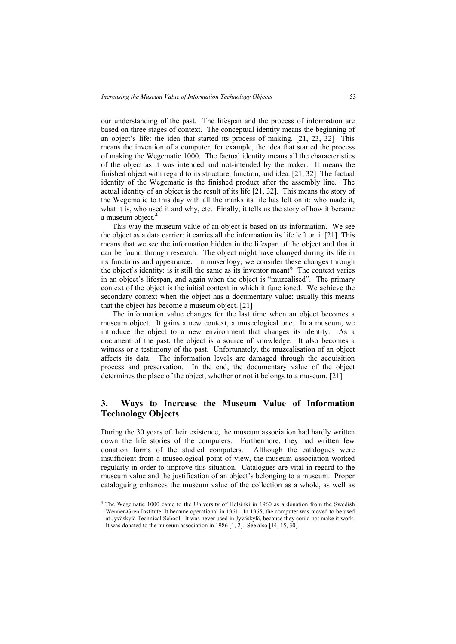our understanding of the past. The lifespan and the process of information are based on three stages of context. The conceptual identity means the beginning of an object's life: the idea that started its process of making. [21, 23, 32] This means the invention of a computer, for example, the idea that started the process of making the Wegematic 1000. The factual identity means all the characteristics of the object as it was intended and not-intended by the maker. It means the finished object with regard to its structure, function, and idea. [21, 32] The factual identity of the Wegematic is the finished product after the assembly line. The actual identity of an object is the result of its life [21, 32]. This means the story of the Wegematic to this day with all the marks its life has left on it: who made it, what it is, who used it and why, etc. Finally, it tells us the story of how it became a museum object.<sup>[4](#page-0-3)</sup>

This way the museum value of an object is based on its information. We see the object as a data carrier: it carries all the information its life left on it [21]. This means that we see the information hidden in the lifespan of the object and that it can be found through research. The object might have changed during its life in its functions and appearance. In museology, we consider these changes through the object's identity: is it still the same as its inventor meant? The context varies in an object's lifespan, and again when the object is "muzealised". The primary context of the object is the initial context in which it functioned. We achieve the secondary context when the object has a documentary value: usually this means that the object has become a museum object. [21]

The information value changes for the last time when an object becomes a museum object. It gains a new context, a museological one. In a museum, we introduce the object to a new environment that changes its identity. As a document of the past, the object is a source of knowledge. It also becomes a witness or a testimony of the past. Unfortunately, the muzealisation of an object affects its data. The information levels are damaged through the acquisition process and preservation. In the end, the documentary value of the object determines the place of the object, whether or not it belongs to a museum. [21]

## **3. Ways to Increase the Museum Value of Information Technology Objects**

During the 30 years of their existence, the museum association had hardly written down the life stories of the computers. Furthermore, they had written few donation forms of the studied computers. Although the catalogues were insufficient from a museological point of view, the museum association worked regularly in order to improve this situation. Catalogues are vital in regard to the museum value and the justification of an object's belonging to a museum. Proper cataloguing enhances the museum value of the collection as a whole, as well as

<sup>4</sup> The Wegematic 1000 came to the University of Helsinki in 1960 as a donation from the Swedish Wenner-Gren Institute. It became operational in 1961. In 1965, the computer was moved to be used at Jyväskylä Technical School. It was never used in Jyväskylä, because they could not make it work. It was donated to the museum association in 1986 [1, 2]. See also [14, 15, 30].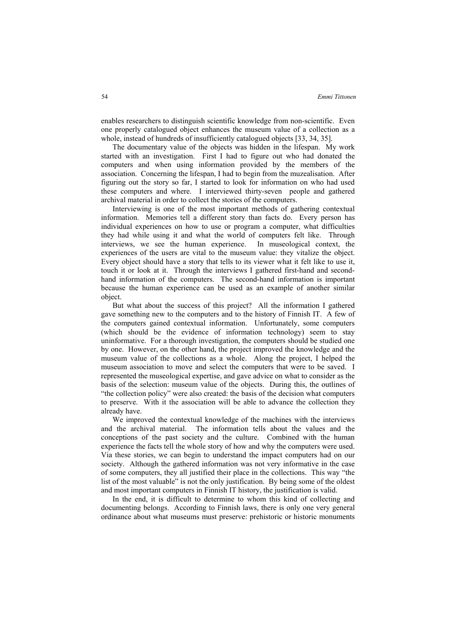enables researchers to distinguish scientific knowledge from non-scientific. Even one properly catalogued object enhances the museum value of a collection as a whole, instead of hundreds of insufficiently catalogued objects [33, 34, 35].

The documentary value of the objects was hidden in the lifespan. My work started with an investigation. First I had to figure out who had donated the computers and when using information provided by the members of the association. Concerning the lifespan, I had to begin from the muzealisation. After figuring out the story so far, I started to look for information on who had used these computers and where. I interviewed thirty-seven people and gathered archival material in order to collect the stories of the computers.

Interviewing is one of the most important methods of gathering contextual information. Memories tell a different story than facts do. Every person has individual experiences on how to use or program a computer, what difficulties they had while using it and what the world of computers felt like. Through interviews, we see the human experience. In museological context, the experiences of the users are vital to the museum value: they vitalize the object. Every object should have a story that tells to its viewer what it felt like to use it, touch it or look at it. Through the interviews I gathered first-hand and secondhand information of the computers. The second-hand information is important because the human experience can be used as an example of another similar object.

But what about the success of this project? All the information I gathered gave something new to the computers and to the history of Finnish IT. A few of the computers gained contextual information. Unfortunately, some computers (which should be the evidence of information technology) seem to stay uninformative. For a thorough investigation, the computers should be studied one by one. However, on the other hand, the project improved the knowledge and the museum value of the collections as a whole. Along the project, I helped the museum association to move and select the computers that were to be saved. I represented the museological expertise, and gave advice on what to consider as the basis of the selection: museum value of the objects. During this, the outlines of "the collection policy" were also created: the basis of the decision what computers to preserve. With it the association will be able to advance the collection they already have.

We improved the contextual knowledge of the machines with the interviews and the archival material. The information tells about the values and the conceptions of the past society and the culture. Combined with the human experience the facts tell the whole story of how and why the computers were used. Via these stories, we can begin to understand the impact computers had on our society. Although the gathered information was not very informative in the case of some computers, they all justified their place in the collections. This way "the list of the most valuable" is not the only justification. By being some of the oldest and most important computers in Finnish IT history, the justification is valid.

In the end, it is difficult to determine to whom this kind of collecting and documenting belongs. According to Finnish laws, there is only one very general ordinance about what museums must preserve: prehistoric or historic monuments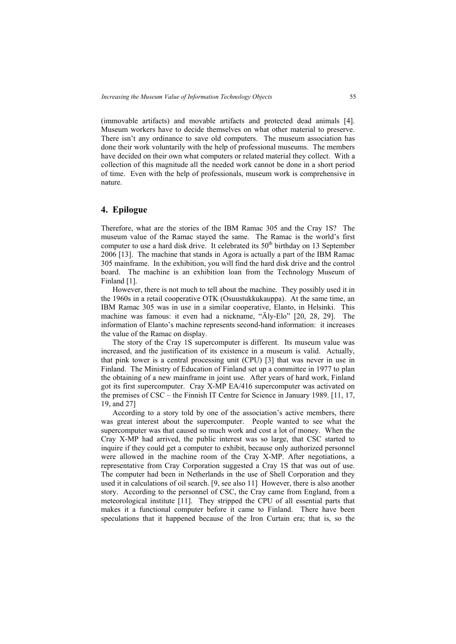(immovable artifacts) and movable artifacts and protected dead animals [4]. Museum workers have to decide themselves on what other material to preserve. There isn't any ordinance to save old computers. The museum association has done their work voluntarily with the help of professional museums. The members have decided on their own what computers or related material they collect. With a collection of this magnitude all the needed work cannot be done in a short period of time. Even with the help of professionals, museum work is comprehensive in nature.

## **4. Epilogue**

Therefore, what are the stories of the IBM Ramac 305 and the Cray 1S? The museum value of the Ramac stayed the same. The Ramac is the world's first computer to use a hard disk drive. It celebrated its 50<sup>th</sup> birthday on 13 September 2006 [13]. The machine that stands in Agora is actually a part of the IBM Ramac 305 mainframe. In the exhibition, you will find the hard disk drive and the control board. The machine is an exhibition loan from the Technology Museum of Finland [1].

However, there is not much to tell about the machine. They possibly used it in the 1960s in a retail cooperative OTK (Osuustukkukauppa). At the same time, an IBM Ramac 305 was in use in a similar cooperative, Elanto, in Helsinki. This machine was famous: it even had a nickname, "Äly-Elo" [20, 28, 29]. The information of Elanto's machine represents second-hand information: it increases the value of the Ramac on display.

The story of the Cray 1S supercomputer is different. Its museum value was increased, and the justification of its existence in a museum is valid. Actually, that pink tower is a central processing unit (CPU) [3] that was never in use in Finland. The Ministry of Education of Finland set up a committee in 1977 to plan the obtaining of a new mainframe in joint use. After years of hard work, Finland got its first supercomputer. Cray X-MP EA/416 supercomputer was activated on the premises of CSC – the Finnish IT Centre for Science in January 1989. [11, 17, 19, and 27]

According to a story told by one of the association's active members, there was great interest about the supercomputer. People wanted to see what the supercomputer was that caused so much work and cost a lot of money. When the Cray X-MP had arrived, the public interest was so large, that CSC started to inquire if they could get a computer to exhibit, because only authorized personnel were allowed in the machine room of the Cray X-MP. After negotiations, a representative from Cray Corporation suggested a Cray 1S that was out of use. The computer had been in Netherlands in the use of Shell Corporation and they used it in calculations of oil search. [9, see also 11] However, there is also another story. According to the personnel of CSC, the Cray came from England, from a meteorological institute [11]. They stripped the CPU of all essential parts that makes it a functional computer before it came to Finland. There have been speculations that it happened because of the Iron Curtain era; that is, so the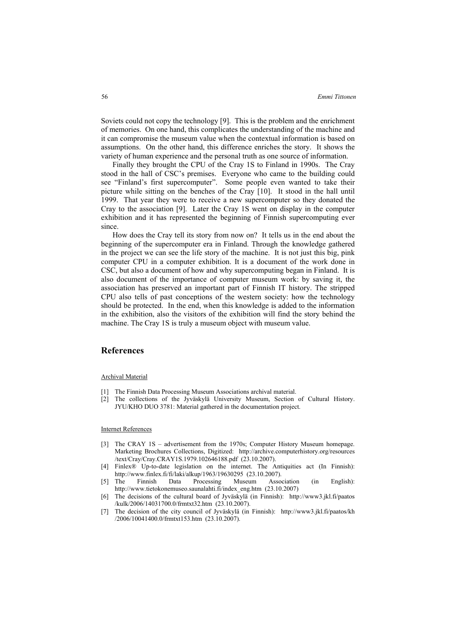Soviets could not copy the technology [9]. This is the problem and the enrichment of memories. On one hand, this complicates the understanding of the machine and it can compromise the museum value when the contextual information is based on assumptions. On the other hand, this difference enriches the story. It shows the variety of human experience and the personal truth as one source of information.

Finally they brought the CPU of the Cray 1S to Finland in 1990s. The Cray stood in the hall of CSC's premises. Everyone who came to the building could see "Finland's first supercomputer". Some people even wanted to take their picture while sitting on the benches of the Cray [10]. It stood in the hall until 1999. That year they were to receive a new supercomputer so they donated the Cray to the association [9]. Later the Cray 1S went on display in the computer exhibition and it has represented the beginning of Finnish supercomputing ever since.

How does the Cray tell its story from now on? It tells us in the end about the beginning of the supercomputer era in Finland. Through the knowledge gathered in the project we can see the life story of the machine. It is not just this big, pink computer CPU in a computer exhibition. It is a document of the work done in CSC, but also a document of how and why supercomputing began in Finland. It is also document of the importance of computer museum work: by saving it, the association has preserved an important part of Finnish IT history. The stripped CPU also tells of past conceptions of the western society: how the technology should be protected. In the end, when this knowledge is added to the information in the exhibition, also the visitors of the exhibition will find the story behind the machine. The Cray 1S is truly a museum object with museum value.

## **References**

Archival Material

- The Finnish Data Processing Museum Associations archival material.
- [2] The collections of the Jyväskylä University Museum, Section of Cultural History. JYU/KHO DUO 3781: Material gathered in the documentation project.

#### Internet References

- [3] The CRAY 1S advertisement from the 1970s; Computer History Museum homepage. Marketing Brochures Collections, Digitized: http://archive.computerhistory.org/resources /text/Cray/Cray.CRAY1S.1979.102646188.pdf (23.10.2007).
- [4] Finlex® Up-to-date legislation on the internet. The Antiquities act (In Finnish): http://www.finlex.fi/fi/laki/alkup/1963/19630295 (23.10.2007).<br>The Finnish Data Processing Museum Asso
- [5] The Finnish Data Processing Museum Association (in English): http://www.tietokonemuseo.saunalahti.fi/index\_eng.htm (23.10.2007)
- [6] The decisions of the cultural board of Jyväskylä (in Finnish): http://www3.jkl.fi/paatos /kulk/2006/14031700.0/frmtxt32.htm (23.10.2007).
- [7] The decision of the city council of Jyväskylä (in Finnish): http://www3.jkl.fi/paatos/kh /2006/10041400.0/frmtxt153.htm (23.10.2007).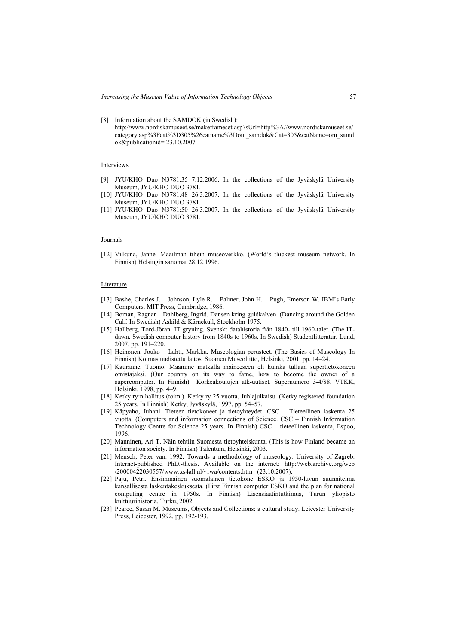[8] Information about the SAMDOK (in Swedish): http://www.nordiskamuseet.se/makeframeset.asp?sUrl=http%3A//www.nordiskamuseet.se/ category.asp%3Fcat%3D305%26catname%3Dom\_samdok&Cat=305&catName=om\_samd ok&publicationid= 23.10.2007

#### Interviews

- [9] JYU/KHO Duo N3781:35 7.12.2006. In the collections of the Jyväskylä University Museum, JYU/KHO DUO 3781.
- [10] JYU/KHO Duo N3781:48 26.3.2007. In the collections of the Jyväskylä University Museum, JYU/KHO DUO 3781.
- [11] JYU/KHO Duo N3781:50 26.3.2007. In the collections of the Jyväskylä University Museum, JYU/KHO DUO 3781.

#### Journals

[12] Vilkuna, Janne. Maailman tihein museoverkko. (World's thickest museum network. In Finnish) Helsingin sanomat 28.12.1996.

#### **Literature**

- [13] Bashe, Charles J. Johnson, Lyle R. Palmer, John H. Pugh, Emerson W. IBM's Early Computers. MIT Press, Cambridge, 1986.
- [14] Boman, Ragnar Dahlberg, Ingrid. Dansen kring guldkalven. (Dancing around the Golden Calf. In Swedish) Askild & Kärnekull, Stockholm 1975.
- [15] Hallberg, Tord-Jöran. IT gryning. Svenskt datahistoria från 1840- till 1960-talet. (The ITdawn. Swedish computer history from 1840s to 1960s. In Swedish) Studentlitteratur, Lund, 2007, pp. 191–220.
- [16] Heinonen, Jouko Lahti, Markku. Museologian perusteet. (The Basics of Museology In Finnish) Kolmas uudistettu laitos. Suomen Museoliitto, Helsinki, 2001, pp. 14–24.
- [17] Kauranne, Tuomo. Maamme matkalla maineeseen eli kuinka tullaan supertietokoneen omistajaksi. (Our country on its way to fame, how to become the owner of a supercomputer. In Finnish) Korkeakoulujen atk-uutiset. Supernumero 3-4/88. VTKK, Helsinki, 1998, pp. 4–9.
- [18] Ketky ry:n hallitus (toim.). Ketky ry 25 vuotta, Juhlajulkaisu. (Ketky registered foundation 25 years. In Finnish) Ketky, Jyväskylä, 1997, pp. 54–57.
- [19] Käpyaho, Juhani. Tieteen tietokoneet ja tietoyhteydet. CSC Tieteellinen laskenta 25 vuotta. (Computers and information connections of Science. CSC – Finnish Information Technology Centre for Science 25 years. In Finnish) CSC – tieteellinen laskenta, Espoo, 1996.
- [20] Manninen, Ari T. Näin tehtiin Suomesta tietoyhteiskunta. (This is how Finland became an information society. In Finnish) Talentum, Helsinki, 2003.
- [21] Mensch, Peter van. 1992. Towards a methodology of museology. University of Zagreb. Internet-published PhD.-thesis. Available on the internet: http://web.archive.org/web /20000422030557/www.xs4all.nl/~rwa/contents.htm (23.10.2007).
- [22] Paju, Petri. Ensimmäinen suomalainen tietokone ESKO ja 1950-luvun suunnitelma kansallisesta laskentakeskuksesta. (First Finnish computer ESKO and the plan for national computing centre in 1950s. In Finnish) Lisensiaatintutkimus, Turun yliopisto kulttuurihistoria. Turku, 2002.
- [23] Pearce, Susan M. Museums, Objects and Collections: a cultural study. Leicester University Press, Leicester, 1992, pp. 192-193.